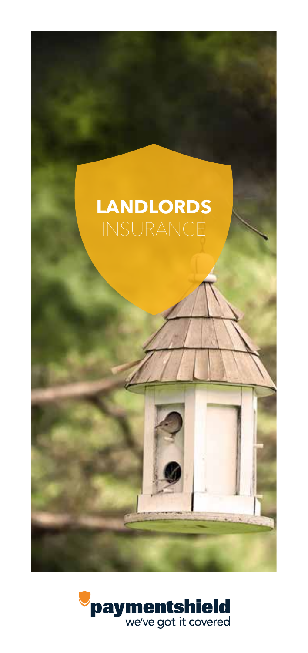

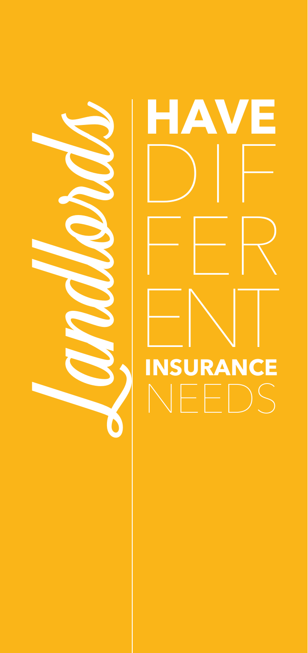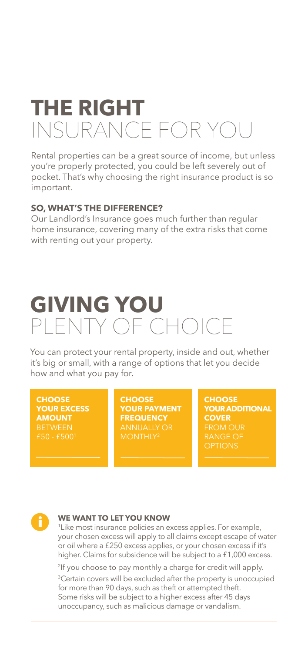# **THE RIGHT**  INSURANCE FOR YOU

Rental properties can be a great source of income, but unless you're properly protected, you could be left severely out of pocket. That's why choosing the right insurance product is so important.

### **SO, WHAT'S THE DIFFERENCE?**

Our Landlord's Insurance goes much further than regular home insurance, covering many of the extra risks that come with renting out your property.

# **GIVING YOU** PLENTY OF CHOICE

You can protect your rental property, inside and out, whether it's big or small, with a range of options that let you decide how and what you pay for.

**CHOOSE YOUR EXCESS AMOUNT**

**CHOOSE YOUR PAYMENT FREQUENCY**

**CHOOSE YOUR ADDITIONAL COVER**



#### **WE WANT TO LET YOU KNOW**

1 Like most insurance policies an excess applies. For example, your chosen excess will apply to all claims except escape of water or oil where a £250 excess applies, or your chosen excess if it's higher. Claims for subsidence will be subject to a £1,000 excess.

2If you choose to pay monthly a charge for credit will apply.

3Certain covers will be excluded after the property is unoccupied for more than 90 days, such as theft or attempted theft. Some risks will be subject to a higher excess after 45 days unoccupancy, such as malicious damage or vandalism.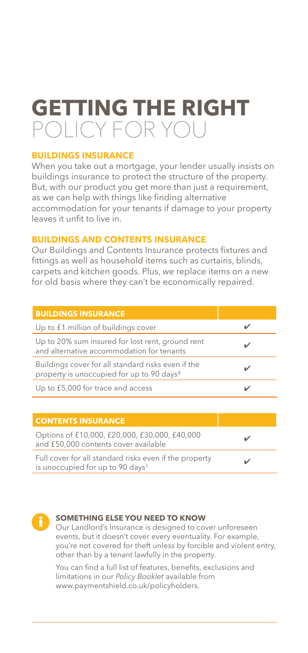# **GETTING THE RIGHT**  POLICY FOR YOU

### **BUILDINGS INSURANCE**

When you take out a mortgage, your lender usually insists on buildings insurance to protect the structure of the property. But, with our product you get more than just a requirement, as we can help with things like finding alternative accommodation for your tenants if damage to your property leaves it unfit to live in.

### **BUILDINGS AND CONTENTS INSURANCE**

Our Buildings and Contents Insurance protects fixtures and fittings as well as household items such as curtains, blinds, carpets and kitchen goods. Plus, we replace items on a new for old basis where they can't be economically repaired.

| <b>BUILDINGS INSURANCE</b>                                                                                  |  |
|-------------------------------------------------------------------------------------------------------------|--|
| Up to £1 million of buildings cover                                                                         |  |
| Up to 20% sum insured for lost rent, ground rent<br>and alternative accommodation for tenants               |  |
| Buildings cover for all standard risks even if the<br>property is unoccupied for up to 90 days <sup>3</sup> |  |
| Up to £5,000 for trace and access                                                                           |  |
|                                                                                                             |  |
| <b>CONTENTS INSURANCE</b>                                                                                   |  |
| Options of £10,000, £20,000, £30,000, £40,000<br>and £50,000 contents cover available                       |  |
| Full cover for all standard risks even if the property<br>is unoccupied for up to 90 days <sup>3</sup>      |  |



#### **SOMETHING ELSE YOU NEED TO KNOW**

Our Landlord's Insurance is designed to cover unforeseen events, but it doesn't cover every eventuality. For example, you're not covered for theft unless by forcible and violent entry, other than by a tenant lawfully in the property.

You can find a full list of features, benefits, exclusions and limitations in our *Policy Booklet* available from www.paymentshield.co.uk/policyholders.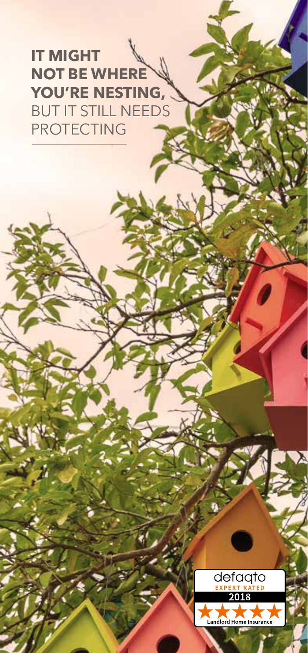**IT MIGHT NOT BE WHERE YOU'RE NESTING,**  BUT IT STILL NEEDS PROTECTING